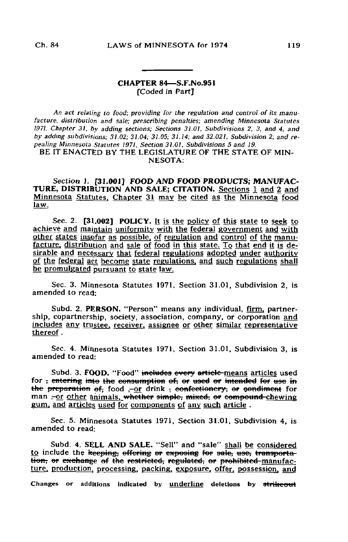## CHAPTER 84—S.F.No.951 [Coded in Part]

An act relating to food; providing for the regulation and control of its manufacture, distribution and sale; prescribing penalties; amending Minnesota Statutes 1971, Chapter 31. by adding sections; Sections 31.01, Subdivisions 2. 3. and 4, and by adding subdivisions; 31.02; 31.04; 31.05; 31.14; and 32.021, Subdivision 2; and repealing Minnesota Statutes 1971, Section 31.01, Subdivisions 5 and 19. BE IT ENACTED BY THE LEGISLATURE OF THE STATE OF MIN-

NESOTA:

Section 1. [31.001] FOOD AND FOOD PRODUCTS; MANUFAC-TURE, DISTRIBUTION AND SALE; CITATION. Sections 1 and 2 and Minnesota Statutes. Chapter 31 may be cited as the Minnesota food law,

Sec. 2.  $[31,002]$  POLICY. It is the policy of this state to seek to achieve and maintain uniformity with the federal government and with other states insofar as possible, of regulation and control of the manufacture, distribution and sale of food in this state. To that end it is desirable and necessary that federal regulations adopted under authority of the federal agt become state regulations, and such regulations shall be promulgated pursuant to state law.

Sec. 3. Minnesota Statutes 1971, Section 31.01, Subdivision 2, is amended to read:

Subd. 2. PERSON. "Person" means any individual, firm, partnership, copartnership, society, association, company, or corporation and includes any trustee, receiver, assignee or other similar representative thereof.

Sec. 4. Minnesota Statutes 1971, Section 31.01, Subdivision 3, is amended to read:

Subd. 3. FOOD. "Food" includes every article-means articles used for <del>, entering into the consumption of, or used or intended for use in</del> the preparation of, food ,-or drink , confectionery, or condiment for man ,-or other animals, whether simple, mixed, or compound-chewing gum, and articles used for components of any such article .

Sec. 5. Minnesota Statutes 1971, Section 31.01, Subdivision 4, is amended to read:

Subd. 4. SELL AND SALE. "Sell" and "sale" shall be considered to include the keeping, offering or exposing for sale, use, transportation, or exchange of the restricted, regulated, or prohibited manufacture, production, processing, packing, exposure, offer, possession, and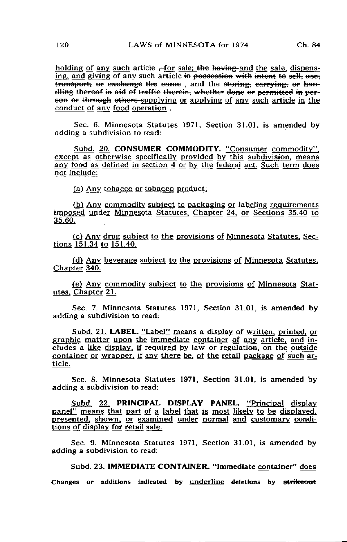holding of any such article  $\pm$  for sale; the having-and the sale, dispensing, and giving of any such article in possession with intent to sell, use, transport, or exchange the same, and the storing, carrying, or handling thereof in aid of traffic therein, whether done or permitted in person or through others-supplying or applying of any such article in the conduct of any food operation .

Sec. 6. Minnesota Statutes 1971, Section 31.01, is amended by adding a subdivision to read:

Subd. 20. CONSUMER COMMODITY. "Consumer commodity", except as otherwise specifically provided by this subdivision, means any food as defined in section 4 or by the federal act. Such term does not include:

(a) Any tobacco or tobacco product:

(bj Any commodity subject to packaging or labeling requirements imposed under Minnesota Statutes. Chapter 24. or Sections 35.40 to 35.60.

(c) Any drug subject to the provisions of Minnesota Statutes, Sections 151.34 to 151.40.

(d) Any beverage subject to the provisions of Minnesota Statutes. Chapter 340.

(e) Any commodity subject to the provisions of Minnesota Statutes. Chapter 21.

Sec. 7. Minnesota Statutes 1971, Section 31.01, is amended by adding a subdivision to read:

Subd. 21. LABEL. "Label" means a display of written, printed, or graphic matter upon the immediate container of any article, and includes a like display, if required by law or regulation, on the outside container or wrapper, if any there be. of the retail package of such article.

Sec. 8. Minnesota Statutes 1971, Section 31.01, is amended by adding a subdivision to read:

Subd. 22. PRINCIPAL DISPLAY PANEL. "Principal display panel" means that part of a label that is most likely to be displayed, presented, shown, or examined under normal and customary conditions of display for retail sale.

Sec. 9. Minnesota Statutes 1971, Section 31.01, is amended by adding a subdivision to read:

Subd. 23. IMMEDIATE CONTAINER. "Immediate container" does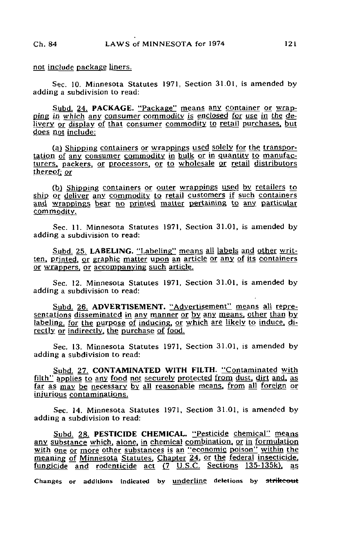not include package liners.

Sec. 10. Minnesota Statutes 1971, Section 31.01, is amended by adding a subdivision to read:

Subd. 24. PACKAGE. "Package" means any container or wrapping in which any consumer commodity is enclosed for use in the delivery or display of that consumer commodity to retail purchases, but does not include:

(a) Shipping containers or wrappings used solely for the transportation of any consumer commodity in bulk or in quantity to manufacturers, packers, or processors, or to wholesale or retail distributors thereof; or

(b) Shipping containers or outer wrappings used by retailers to ship or deliver any commodity to retail customers if such containers and wrappings bear no printed matter pertaining to any particular commodity.

Sec. 11. Minnesota Statutes 1971, Section 31.01, is amended by adding a subdivision to read:

Subd. 25. LABELING. "Labeling" means all labels and other written, printed, or graphic matter upon an article or any of its containers or wrappers, or accompanying such article.

Sec. 12. Minnesota Statutes 1971, Section 31.01, is amended by adding a subdivision to read:

Subd. 26. ADVERTISEMENT. "Advertisement" means all representations disseminated in any manner or by any means, other than by labeling, for the purpose of inducing, or which are likely to induce, directly or indirectly, the purchase of food.

Sec. 13. Minnesota Statutes 1971, Section 31.01, is amended by adding a subdivision to read:

Subd. 27. CONTAMINATED WITH FILTH. "Contaminated with filth" applies to any food not securely protected from dust, dirt and, as far as may be necessary by all reasonable means, from all foreign or injurious contaminations.

Sec. 14. Minnesota Statutes 1971, Section 31.01, is amended by adding a subdivision to read:

Subd. 28. PESTICIDE CHEMICAL. "Pesticide chemical" means any substance which, alone, in chemical combination, or in formulation with one or more other substances is an "economic poison" within the meaning of Minnesota Statutes, Chapter 24, or the federal insecticide, fungicide and rodenticide  $act$   $(7 \tcup S.C.$  Sections 135-135k), as Changes or additions indicated by underline deletions by strikeout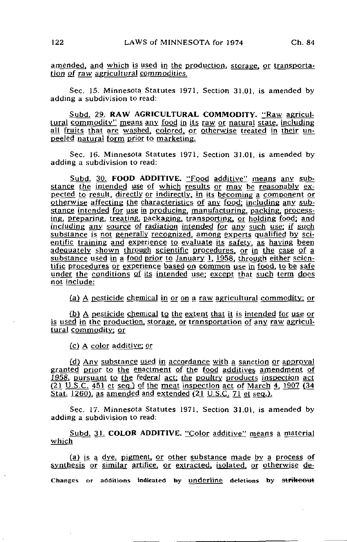Sec. 15. Minnesota Statutes 1971, Section 31.01, is amended by adding a subdivision to read:

Subd. 29. RAW AGRICULTURAL COMMODITY. "Raw agricultural commodity" means any food in its raw or natural state, including all fruits that are washed, colored, or otherwise treated in their unpeeled natural form prior to marketing.

Sec. 16. Minnesota Statutes 1971, Section 31.01, is amended by adding a subdivision to read:

Subd. 30. FOOD ADDITIVE. "Food additive" means any substance the intended use of which results or may be reasonably expected to result, directly or indirectly, in its becoming a component or otherwise affecting the characteristics of any food; including any substance intended for use in producing, manufacturing, packing, processing, preparing, treating, packaging, transporting, or holding food; and including any source of radiation intended for any such use: if such substance is not generally recognized, among experts qualified by scientific training and experience to evaluate its safety, as having been adequately shown through scientific procedures, or in the case of a substance used in a food prior to January 1, 1958. through either scientific procedures or experience based on common use in food, to be safe under the conditions of its intended use; except that such term does not include:

(a) A pesticide chemical in or on a raw agricultural commodity: or

(b) A pesticide chemical to the extent that it is intended for use or is used in the production, storage, or transportation of any raw agricultural commodity: or

(cj A color additive: or

(d) Any substance used in accordance with a sanction or approval granted prior to the enactment of the food additives amendment of 1958, pursuant to the federal act; the poultry products inspection act  $(21 \text{ U.S.C. } 451 \text{ et seq.})$  of the meat inspection act of March 4, 1907 (34) Stat. 1260), as amended and extended (21 U.S.C. 71 et seq.).

Sec. 17. Minnesota Statutes 1971, Section 31.01, is amended by adding a subdivision to read:

Subd. 31. COLOR ADDITIVE. "Color additive" means a material which

(a) is a dye, pigment, or other substance made by a process of synthesis or similar artifice, or extracted, isolated, or otherwise de-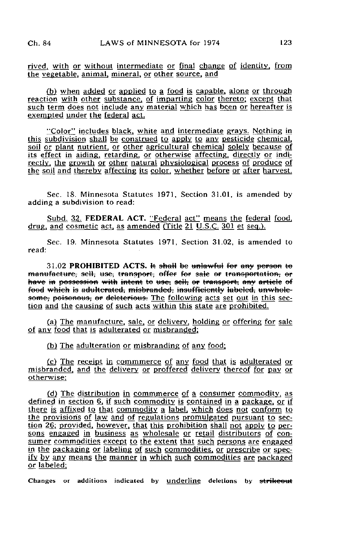rived, with or without intermediate or final change of identity, from the vegetable, animal, mineral, or other source, and

(b) when added or applied to a food is capable, alone or through reaction with other substance, of imparting color thereto: except that such term does not include any material which has been or hereafter is exempted under the federal act.

"Color" includes black, white and intermediate grays. Nothing in this subdivision shall be construed to apply to any pesticide chemical, soil or plant nutrient, or other agricultural chemical solely because of its effect in aiding, retarding, or otherwise affecting, directly or indirectly. the growth or other natural physiological process of produce of the soil and thereby affecting its color, whether before or after harvest.

Sec. IS. Minnesota Statutes 1971, Section 31.01, is amended by adding a subdivision to read:

Subd. 32. FEDERAL ACT. "Federal act" means the federal food, drug, and cosmetic act, as amended (Title 21 U.S.C. 301 et seq.).

Sec. 19. Minnesota Statutes 1971, Section 31.02, is amended to read:

 $31.02$  PROHIBITED ACTS. It shall be unlawful for any person to manufacture, sell, use, transport, offer for sale or transportation, or have in possession with intent to use, sell, or transport, any article of food which is adulterated, misbranded, insufficiently labeled, unwholesome, poisonous, or deleterious. The following acts set out in this section and the causing of such acts within this state are prohibited.

(a) The manufacture, sale, or delivery, holding or offering for sale of any food that is adulterated or misbranded:

(b) The adulteration or misbranding of any food;

(c) The receipt in commmerce of any food that is adulterated or misbranded. and the delivery or proffered delivery thereof for pay or otherwise:

(d) The distribution in commmerce of a consumer commodity, as defined in section 6, if such commodity is contained in a package, or if there is affixed to that commodity a label, which does not conform to the provision's of law and of regulations promulgated pursuant to section 26; provided, however, that this prohibition shall not apply to persons engaged in business as wholesale or retail distributors of consumer commodities except to the extent that such persons are engaged in the packaging or labeling of such commodities, or prescribe or specify by any means the manner in which such commodities are packaged or labeled: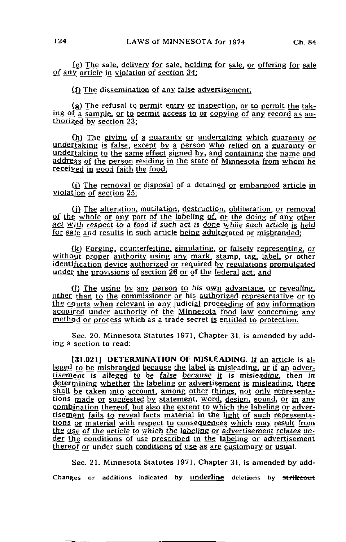(f) The dissemination of any false advertisement:

 $(g)$  The refusal to permit entry or inspection, or to permit the taking of a sample, or to permit access to or copying of any record as authorized by section 23;

(h) The giving of a guaranty or undertaking which guaranty or undertaking is false, except by a person who relied on a guaranty or undertaking to the same effect signed by, and containing the name and address of the person residing in the state of Minnesota from whom he received in good faith the food:

(i) The removal or disposal of a detained or embargoed article in violation of section 25:

(j) The alteration, mutilation, destruction, obliteration, or removal of thg whole or any part of the labeling of. or the doing of any other act with respect to a food if such act is done while such article is held for sale and results in such article being adulterated or misbranded:

(k) Forging, counterfeiting, simulating, or falsely representing, or without proper authority using any mark, stamp, tag, label, or other identification device authorized or required by regulations promulgated under the provisions of section 26 or of the federal act; and

 $(1)$  The using by any person to his own advantage, or revealing, other than to the commissioner or his authorized representative or to the courts when relevant in any judicial proceeding of any information acquired under authority of the Minnesota food law concerning any method or process which as a trade secret is entitled to protection.

Sec. 20. Minnesota Statutes 1971, Chapter 31, is amended by adding a section to read:

t31.021] DETERMINATION OF MISLEADING. If an article is ah leged to be misbranded because the label is misleading, or if an adver $t$  isement is alleged to be false because it is misleading, then in determining whether the labeling or advertisement is misleading, there shall be taken into account, among other things, not only representations made or suggested by statement, word, design, sound, or in any combination thereof, but also the extent to which the labeling or advertisement fails to reveal facts material in the light of such representations or material with respect to consequences which may result from the use of the article to which the labeling or advertisement relates under the conditions of use prescribed in the labeling or advertisement thereof or under such conditions of use as are customary or usual.

Sec. 21. Minnesota Statutes 1971, Chapter 31, is amended by add-Changes or additions indicated by underline deletions by strikeout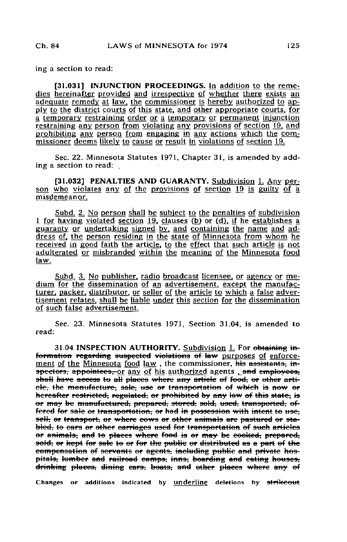ing a section to read:

[31.031] INJUNCTION PROCEEDINGS. In addition to the remedies hereinafter provided and irrespective of whether there exists an adequate remedy at law, the commissioner is hereby authorized to apply to the district courts of this state, and other appropriate courts, for a temporary restraining order or a temporary or permanent injunction restraining any person from violating any provisions of section 19. and prohibiting any person from engaging in any actions which the commissioner deems likely to cause or result in violations of section 19.

Sec. 22. Minnesota Statutes 1971, Chapter 31, is amended by adding a section to read:

[31.032] PENALTIES AND GUARANTY. Subdivision 1. Any person who violates any of the provisions of section 19 is guilty of a misdemeanor.

Subd. 2. No person shall be subject to the penalties of subdivision 1 for having violated section 19, clauses (b) or (d), if he establishes a guaranty or undertaking signed by. and containing the name and address of, the person residing in the state of Minnesota from whom he received in good faith the article, to the effect that such article is not adulterated or misbranded within the meaning of the Minnesota food law.

Subd, 3. No publisher, radio broadcast licensee, or agency or medium for the dissemination of an advertisement, except the manufacturer. packer, distributor, or seller of the article to which a false advertisement relates, shall be liable under this section for the dissemination of such false advertisement.

Sec. 23. Minnesota Statutes 1971, Section 31.04, is amended to read:

31.04 INSPECTION AUTHORITY. Subdivision 1. For obtaining information regarding suspected violations of law purposes of enforcement of the Minnesota food law, the commissioner, his assistants, inspectors, appointees, or any of his authorized agents , and employees, shall have access to all places where any article of food, or other artiele, the manufacture, sale, use or transportation of which is now or hereafter restricted, regulated, or prohibited by any law of this state, is er may be manufactured, prepared, stored, sold, used, transported, effered for sale or transportation, or had in possession with intent to use; seH; er transport, er where cows er ether animals are pastured er stabled, to ears or other carriages used for transportation of such articles or animals, and to places where food is or may be cooked, prepared, 30ld, or kept for sale to or for the public or distributed as a part of the compensation of servants or agents, including public and private hospitals, lumber and railroad camps, inns, boarding and cating houses, drinking places, dining cars, boats, and other places where any of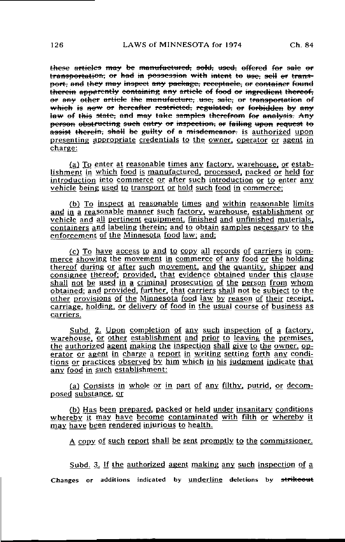ese <del>articles may</del> be <del>manufactured, sold, used, offered for</del> transportation; or had in possession with intent to use; sell or transport, and they may inspect any package, receptacle, or container found therein apparently containing any article of food or ingredient thereof. or any other article the manufacture, use, sale; or transportation of which is now or hereafter restricted, regulated, or forbidden by any taw of this state, and may take samples therefrom for analysis. Any person obstructing such entry or inspection, or failing upon request to assist therein, shall be guilty of a misdemeanor, is authorized upon presenting appropriate credentials to the owner, operator or agent in  $charee$ :

(a) To enter at reasonable times any factory, warehouse, or establishment in which food is manufactured, processed, packed or held for introduction into commerce or after such introduction or to enter any vehicle being used to transport or hold such food in commerce:

(b) To inspect at reasonable times and within reasonable limits and in a reasonable manner such factory, warehouse, establishment or vehicle and all pertinent equipment, finished and unfinished materials, containers and labeling therein: and to obtain samples necessary to the enforcement of the Minnesota food law; and:

(c) To have access to and to copy all records of carriers in commerce showing the movement in commerce of any food or the holding thereof during or after such movement, and the quantity, shipper and consignee thereof: provided, that evidence obtained under this clause shall not be used in a criminal prosecution of the person from whom  $\overline{\text{obtained}}$ : and provided, further, that carriers shall not be subject to the other provisions of the Minnesota food law by reason of their receipt, carriage, holding, or delivery of food in the usual course of business as carriers.

Subd. 2. Upon completion of any such inspection of a factory, warehouse, or other establishment and prior to leaving the premises, the authorized agent making the inspection shall give to the owner, operator or agent in charge a report in writing setting forth any conditions or practices observed by him which in his judgment indicate that any food in such establishment:

(a) Consists in whole or in part of any filthy, putrid, or decomposed substance, or

(b) Has been prepared, packed or held under insanitary conditions whereby it may have become contaminated with filth or whereby it may have been rendered injurious to health.

A copy of such report shall be sent promptly to the commissioner.

Subd. 3. If the authorized agent making any such inspection of a Changes or additions indicated by underline deletions by strikeout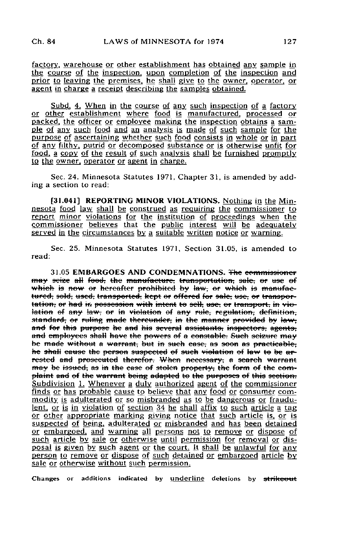factory, warehouse or other establishment has obtained any sample in the course of the inspection, upon completion of the inspection and prior to leaving the premises, he shall give to the owner, operator, or agent in charge a receipt describing the samples obtained.

Subd. 4. When in the course of any such inspection of a factory or other establishment where food is manufactured, processed or packed, the officer or employee making the inspection obtains a sample of any such food and an analysis is made of such sample for the purpose of ascertaining whether such food consists in whole or in part of any filthy, putrid or decomposed substance or is otherwise unfit for food, a copy of the result of such analysis shall be furnished promptly to the owner, operator or agent in charge.

Sec. 24. Minnesota Statutes 1971, Chapter 31, is amended by adding a section to read:

[31.041] REPORTING MINOR VIOLATIONS. Nothing in the Minnesota food law shall be construed as requiring the commissioner to report minor violations for the institution of proceedings when the commissioner believes that the public interest will be adequately served in the circumstances by a suitable written notice or warning.

Sec. 25. Minnesota Statutes 1971, Section 31.05, is amended to read:

31.05 EMBARGOES AND CONDEMNATIONS. The ecommissioner may scize all food, the manufacture, transportation, sale, or use of which is now or hereafter prohibited by law, or which is manufactured, sold, used, transported, kept or offered for sale, use, or transportation, or had in possession with intent to sell, use, or transport, in violation of any law, or in violation of any rule, regulation, definition, standard, or ruling made thereunder, in the manner provided by law. and for this purpose he and his several assistants, inspectors, agents, and employees shall have the powers of a constable. Such seizure may be made without a warrant, but in such ease, as soon as practicable, he shall cause the person suspected of such violation of law to be arrested and prosecuted therefor. When necessary, a search warrant may be issued, as in the case of stolen property, the form of the complaint and of the warrant being adapted to the purposes of this section. Subdivision 1. Whenever a duly authorized agent of the commissioner finds or has probable cause to believe that any food or consumer commodity is adulterated or so misbranded as to be dangerous or fraudulent. or is in violation of section 34 he shall affix to such article a tag or other appropriate marking giving notice that such article is. or is suspected of being, adulterated or misbranded and has been detained or embargoed, and warning all persons not to remove or dispose of such article by sale or otherwise until permission for removal or disposal is given by such agent or the court. It shall be unlawful for any person to remove or dispose of such detained or embargoed article by sale or otherwise without such permission.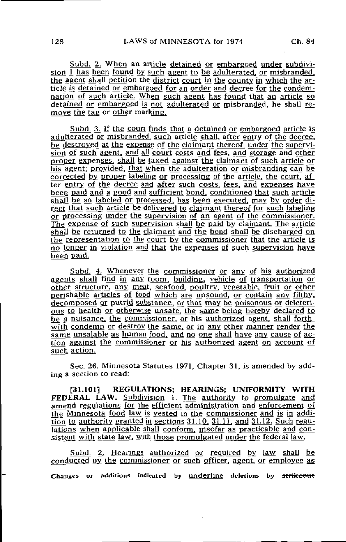Subd. 2. When an article detained or embargoed under subdivision  $\overline{I}$  has been found by such agent to be adulterated, or misbranded, the agent shall petition the district court in the county in which the  $ar$ tide is detained or embargoed for an order and decree for the condemnation of such article. When such agent has found that an article so detained or embargoed is not adulterated or misbranded. he shall remove the tag or other marking.

Subd. 3. If the court finds that a detained or embargoed article is adulterated or misbranded. such article shall, after entry of the decree, be destroyed at the expense of the claimant thereof, under the supervision of such agent, and all court costs and fees, and storage and other proper expenses, shall be taxed against the claimant of such article or his agent; provided, that when the adulteration or misbranding can be corrected by proper labeling or processing of the article, the court, after entry of the decree and after such costs, fees, and expenses have been paid and a good and sufficient bond, conditioned that such article shall be so labeled or processed, has been executed, may by order direct that such article be delivered to claimant thereof for such labeling or processing under the supervision of an agent of the commissioner. The expense of such supervision shall be paid by claimant. The article shall be returned to the claimant and the bond shall be discharged on the representation to the court by the commissioner that the article is no longer in violation and that the expenses of such supervision have been paid.

Subd. 4. Whenever the commissioner or any of his authorized agents shall find in any room, building, vehicle of transportation or other structure, any meat, seafood, poultry, vegetable, fruit or other perishable articles of food which are unsound, or contain any filthy, decomposed or putrid substance, or that may be poisonous or deleterious to health or otherwise unsafe, the same being hereby declared to be g nuisance, the commissioner, or his authorized agent, shall forthwith condemn or destroy the same, or in any other manner render the same unsalable as human food, and no one shall have any cause of action against the commissioner or his authorized aggnt on account of such action.

Sec. 26. Minnesota Statutes 1971, Chapter 31, is amended by adding a section to read:

[31.101] REGULATIONS; HEARINGS; UNIFORMITY WITH FEDERAL LAW. Subdivision 1. The authority to promulgate and amend regulations for the efficient administration and enforcement of the Minnesota food law is vested in the commissioner and is in addition to authority granted in sections  $31.10$ ,  $31.11$ , and  $31.12$ . Such regulations when applicable shall conform, insofar as practicable and consistent with state law, with those promulgated under the federal law.

Subd. 2. Hearings authorized or required by law shall be conducted by the commissioner or such officer, agent, or employee as Changes or additions indicated by underline deletions by strikeout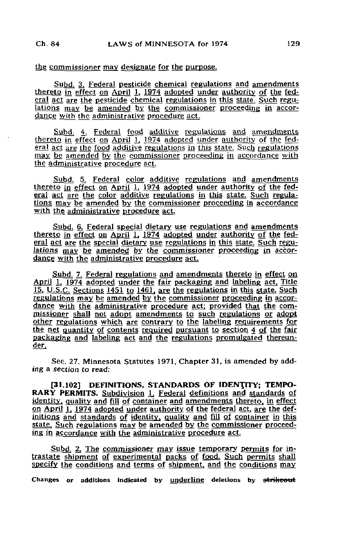## the commissioner may designate for the purpose.

Subd. 3. Federal pesticide chemical regulations and amendments thereto in effect on April 1,  $1974$  adopted under authority of the federal act are the pesticide chemical regulations in this state. Such regulations may be amended by the commissioner proceeding in accordance with the administrative procedure act.

Subd. 4. Federal food additive regulations and amendments thereto in effect on April 1, 1974 adopted under authority of the federal act are the food additive regulations in this state. Such regulations may be amended by the commissioner proceeding in accordance with the administrative procedure act.

Subd. 5. Federal color additive regulations and amendments thereto in effect on April  $\overline{1}$ , 1974 adopted under authority of the federal act are the color additive regulations in this state. Such regulations may be amended by the commissioner proceeding in accordance with the administrative procedure act.

Subd. 6. Federal special dietary use regulations and amendments thereto in effect on April 1, 1974 adopted under authority of the federal act are the special dietary use regulations in this state. Such regulations may be amended by the commissioner proceeding in accordance with the administrative procedure act.

Subd. 7. Federal regulations and amendments thereto in effect on April 1, 1974 adopted under the fair packaging and labeling act, Title 15, U.S.C. Sections 1451 to 1461, are the regulations in this state. Such regulations may be amended by the commissioner proceeding in accordance with the administrative procedure act; provided that the commissioner shall not adopt amendments to such regulations or adopt other regulations which are contrary to the labeling requirements for the net quantity of contents required pursuant to section 4 of the fair packaging and labeling act and the regulations promulgated thereunder,

Sec. 27. Minnesota Statutes 1971, Chapter 31, is amended by adding a section to read:

[31.102] DEFINITIONS, STANDARDS OF IDENTITY; TEMPO-RARY PERMITS. Subdivision 1. Federal definitions and standards of identity, quality and fill of container and amendments thereto, in effect on April 1, 1974 adopted under authority of the federal act, are the definitions and standards of identity, quality and fill of container in this state. Such regulations may be amended by the commissioner proceeding in accordance with the administrative procedure act

Subd. 2. The commissioner may issue temporary permits for intrastate shipment of experimental packs of food. Such permits shall specify the conditions and terms of shipment, and the conditions may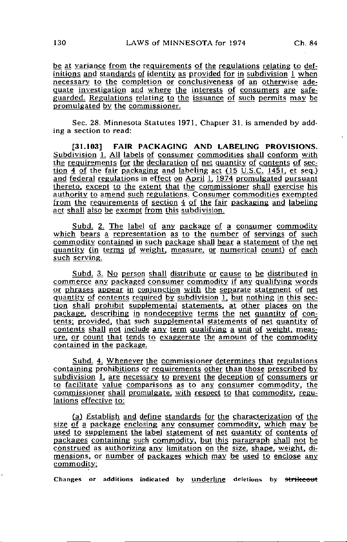be at variance from the requirements of the regulations relating to definitions and standards of identity as provided for in subdivision 1 when necessary to the completion or conclusiveness of an otherwise adequate investigation and where the interests of consumers are safeguarded. Regulations relating to the issuance of such permits may be promulgated by the commissioner.

Sec. 28. Minnesota Statutes 1971, Chapter 31, is amended by adding a section to read:

[31.103] FAIR PACKAGING AND LABELING PROVISIONS. Subdivision 1. All labels of consumer commodities shall conform with the requirements for the declaration of net quantity of contents of section 4 of the fair packaging and labeling act (15 U.S.C. 1451, et seq.) and federal regulations in effect on April  $1,1974$  promulgated pursuant thereto, except to the extent that the commissioner shall exercise his authority to amend such regulations. Consumer commodities exempted from the requirements of section 4 of the fair packaging and labeling act shall also be exempt from this subdivision.

Subd. 2. The label of any package of a consumer commodity which bears a representation as to the number of servings of such commodity contained in such package shall bear a statement of the net quantity (in terms of weight, measure, or numerical count) of each such serving.

Subd. 3. No person shall distribute or cause to be distributed in commerce any packaged consumer commodity if any qualifying words or phrases appear in conjunction with the separate statement of net quantity of contents required by subdivision 1, but nothing in this section shall prohibit supplemental statements, at other places on the package, describing in nondeceptive terms the net quantity of contents: provided, that such supplemental statements of net quantity of contents shall not include any term qualifying a unit of weight, measure. or count that tends to exaggerate the amount of the commodity contained in the package.

Subd. 4. Whenever the commissioner determines that regulations containing prohibitions or requirements other than those prescribed by subdivision 1, are necessary to prevent the deception of consumers or to facilitate value comparisons as to any consumer commodity, the commissioner shall promulgate, with respect to that commodity, regulations effective to:

(a) Establish and define standards for the characterization of the size of a package enclosing any consumer commodity, which may be used to supplement the label statement of net quantity of contents of packages containing such commodity, but this paragraph shall not be construed as authorizing any limitation on the size, shape, weight, dimensions, or number of packages which may be used to enclose any commodity;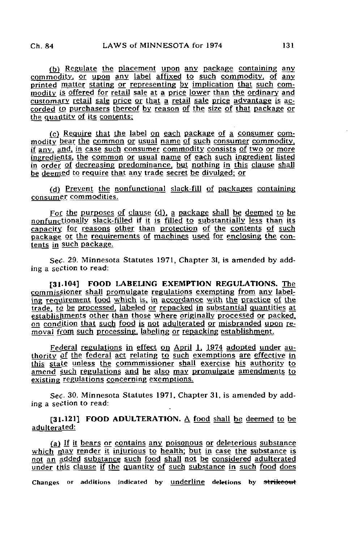(b) Regulate the placement upon any package containing any commodity, or upon any label affixed to such commodity, of any printed matter stating or representing by implication that such commodity is offered for retail sale at a price lower than the ordinary and customary retail sale price or that a retail sale price advantage is accorded to purchasers thereof by reason of the size of that package or the quantity of its contents;

(c) Require that the label on each package of a consumer commodity bear the common or usual name of such consumer commodity, if any, and, in case such consumer commodity consists of two or more ingredients, the common or usual name of each such ingredient listed in order of decreasing predominance, but nothing in this clause shall be deemed to require that any trade secret be divulged: or

(d) Prevent the nonfunctional slack-fill of packages containing consumer commodities.

For the purposes of clause (d), a package shall be deemed to be nonfunctionally slack-filled if it is filled to substantially less than its capacity for reasons other than protection of the contents of such package or the requirements of machines used for enclosing the contents in such package.

Sec. 29. Minnesota Statutes 1971, Chapter 31, is amended by adding a section to read:

[31-104] FOOD LABELING EXEMPTION REGULATIONS. The commissioner shall promulgate regulations exempting from any labeling requirement food which is, in accordance with the practice of the trade, to be processed, labeled or repacked in substantial quantities at establishments other than those where originally processed or packed, on condition that such food is not adulterated or misbranded upon removal from such processing, labeling or repacking establishment.

Federal regulations in effect on April 1, 1974 adopted under authority of the federal act relating to such exemptions are effective in this state unless the commmissioner shall exercise his authority to amend such regulations and he also may promulgate amendments to existing regulations concerning exemptions.

Sec. 30. Minnesota Statutes 1971, Chapter 31, is amended by adding a section to read:

[31.121] FOOD ADULTERATION.  $\triangle$  food shall be deemed to be adulterated:

(a) If ii bears or contains any poisonous or deleterious substance which  $\overline{n}$  nay render it injurious to health; but in case the substance is not an added substance such food shall not be considered adulterated under this clause if the quantity of such substance in such food does Changes or additions indicated by underline deletions by strikeout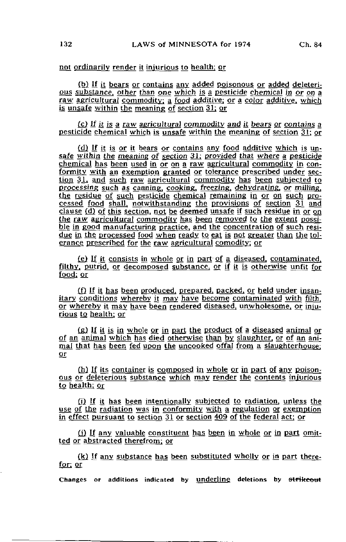(b) If it bears or contains any added poisonous or added deleterious substance, other than one which is a pesticide chemical in or on a raw agricultural commodity: a food additive; or a color additive, which is unsafe within the meaning of section 31: or

 $(c)$  If it is a raw agricultural commodity and it bears or contains a pesticide chemical which is unsafe within the meaning of section 31; or

(d) If it is or it bears or contains any food additive which is unsafe within the meaning of section 31; provided that where a pesticide chemical has been used in or on a raw agricultural commodity in conformity with an exemption granted or tolerance prescribed under section 31, and such raw agricultural commodity has been subjected to processing such as canning, cooking, freezing, dehydrating, or milling, the residue of such pesticide chemical remaining in or on such processed food shall, notwithstanding the provisions of section 31 and clause (d) of this section, not be deemed unsafe if such residue in or on the raw agricultural commodity has been removed to the extent possible in good manufacturing practice, and the concentration of such residue in the processed food when ready to eat is not greater than the tolerance prescribed for the raw agricultural comodity; or

(e) If it consists in whole or in part of a diseased, contaminated. filthy, putrid, or decomposed substance, or if it is otherwise unfit for food; or

£f) If it has been produced, prepared, packed, or held under insanitary conditions whereby it may have become contaminated with filth. or whereby it may have been rendered diseased, unwholesome, or injurious to health: or

(g) If it is in whole or in part the product of a diseased animal or of an animal which has died otherwise than by slaughter, or of an animal that has been fed upon the uncooked offal from a slaughterhouse; or

(h) If its container is composed in whole or in part of any poisonous or deleterious substance which may render the contents injurious to health; or

(i) If it has been intentionally subjected to radiation, unless the use of the radiation was in conformity with a regulation or exemption in effect pursuant to section 31 or section 409 of the federal act; or

(i) If any valuable constituent has been in whole or in part omitted or abstracted therefrom: or

(k) If any substance has been substituted wholly or in part therefor: or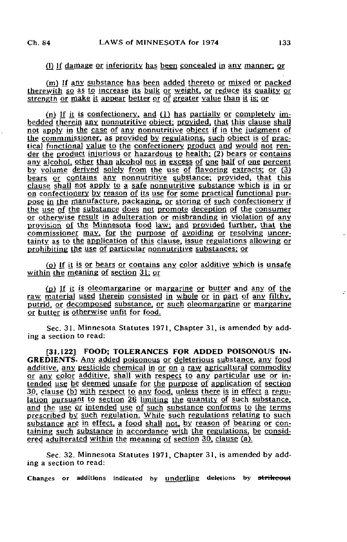## (1) If damage or inferiority has been concealed in any manner; or

(m) If any substance has been added thereto or mixed or packed therewith so as to increase its bulk or weight, or reduce its quality or strength or make it appear better or of greater value than it is; or

(n) If it is confectionery, and (1) has partially or completely imbedded therein any nonnutritive object; provided, that this clause shall not apply in the case of any nonnutritive object if in the judgment of the commmissioner. as provided by regulations, such object is of practical functional value to the confectionery product and would not render the product injurious or hazardous to health: (2) bears or contains any alcohol, other than alcohol not in excess of one half of one percent by volume derived solely from the use of flavoring extracts; or (3) bears or contains any nonnutritive substance; provided, that this clause shall not apply to a safe nonnutritive substance which is in or on confectionery by reason of its use for some practical functional purpose in the manufacture, packaging, or storing of such confectionery if the use of the substance does not promote deception of the consumer or otherwise result in adulteration or misbranding in violation of any provision of the Minnesota food law, and provided further, that the commissioner may, for the purpose of avoiding or resolving uncertainty as to the application of this clause, issue regulations allowing or prohibiting the use of particular nonnutritive substances; or

( $o$ ) If it is or bears or contains any color additive which is unsafe within the meaning of section 31; or

(p) If it is oleomargarine or margarine or butter and any of the raw material used therein consisted in whole or in part of any filthy, putrid, or decomposed substance, or such oleomargarine or margarine or butter is otherwise unfit for food.

Sec. 31. Minnesota Statutes 1971, Chapter 31, is amended by adding a section to read:

[31.122] FOOD; TOLERANCES FOR ADDED POISONOUS IN-GREDIENTS. Any added poisonous or deleterious substance, any food additive, any pesticide chemical in or on a raw agricultural commodity or any color additive, shall with respect to any particular use or intended use be deemed unsafe for the purpose of application of section 30. clause (b) with respect to any food, unless there is in effect a regulation pursuant to section 26 limiting the quantity of such substance, and the use or intended use of such substance conforms to the terms prescribed by. such regulation. While such regulations relating to such substance are in effect, a food shall not, by reason of bearing or containing such substance in accordance with the regulations, be considered adulterated within the meaning of section 30. clause (a).

Sec. 32. Minnesota Statutes 1971, Chapter 31, is amended by adding a section to read:

Changes or additions indicated by underline deletions by strikeout

ż.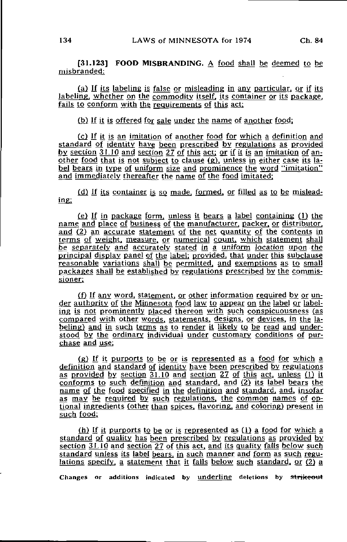[31.1231 FOOD MISBRANDING. A food shall be deemed to be misbranded:

(a) If its labeling is false or misleading in any particular, or if its labeling, whether on the commodity itself, its container or its package, fails to conform with the requirements of this act:

(b) If it is offered for sale under the name of another food;

(c} If it is an imitation of another food for which a definition and standard of identity have been prescribed by regulations as provided by section 31.10 and section 27 of this act; or if it is an imitation of another food that is not subject to clause (g). unless in either case its label bears in type of uniform size and prominence the word "imitation" and immediately thereafter the name of the food imitated:

(d) If its container is so made, formed, or filled as to be misleading:

 $(e)$  If in package form, unless it bears a label containing (1) the name and place of business of the manufacturer, packer, or distributor, and (2) an accurate statement of the net quantity of the contents in terms of weight, measure, or numerical count, which statement shall be separately and accurately stated in a uniform location upon the principal display panel of the label: provided, that under this subclause reasonable variations shall be permitted, and exemptions as to small packages shall be established by regulations prescribed by the commissioner;

(f) If any word, statement, or other information required by or under authority of the Minnesota food law to appear on the label or labeling is not prominently placed thereon with such conspicuousness (as compared with other words, statements, designs, or devices, in the labeling) and in such terms as to render it likely to be read and understood by the ordinary individual under customary conditions of purchase and use:

(g) If it purports to be or is represented as a food for which a definition and standard of identity have been prescribed by regulations as provided by section 31.10 and section 27 of this act, unless (1) it conforms to such definition and standard, and (2} its label bears the name of the food specified in the definition and standard, and, insofar as may be required by such regulations, the common names of optional ingredients (other than spices, flavoring, and coloring) present in such food;

(h) If it purports to be or is represented as  $(i)$  a food for which a standard of quality has been prescribed by regulations as provided by section 31.10 and section 27 of this act, and its quality falls below such standard unless its label bears, in such manner and form as such regulations specify, a statement that it falls below such standard, or (2) a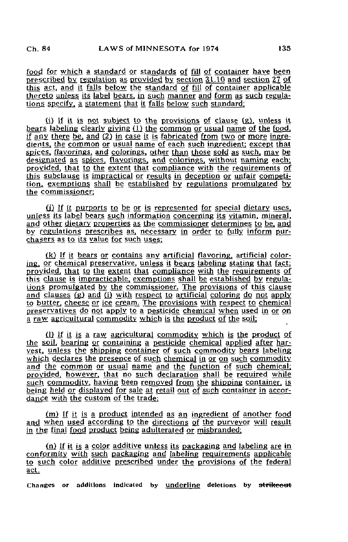food, for which a standard or standards of fill of container have been prescribed by regulation as provided by section  $31.10$  and section  $27$  of this act, and it falls below the standard of fill of container applicable thereto unless its label bears, in such manner and form as such regulations specify, a statement that it falls below such standard:

 $(i)$  If it is not subject to the provisions of clause  $(g)$ , unless it bears labeling clearly giving  $(1)$  the common or usual name of the food. if any there be, and (2) in case it is fabricated from two or more ingredients, the common or usual name of each such ingredient; except that spices, flavorings, and colorings, other than those sold as such, may be designated as spices, flavorings, and colorings, without naming each; provided, that to the extent that compliance with the requirements of this subclause is impractical or results in deception or unfair competition, exemptions shall be established by regulations promulgated by the commissioner:

 $(i)$  If it purports to be or is represented for special dietary uses, unless its label bears such information concerning its vitamin, mineral, and other dietary properties as the commissioner determines to be. and by regulations prescribes as. necessary in order to fully inform purchasers as to its value for such uses;

(k) If it bears or contains any artificial flavoring, artificial coloring, or chemical preservative, unless it bears labeling stating that fact; provided, that to the extent that compliance with the requirements of this clause is impracticable, exemptions shall be established by regulations promulgated by the commissioner. The provisions of this clause and clauses (g) and (i) with respect to artificial coloring do not apply to butter, cheese or ice cream. The provisions with respect to chemical preservatives do not apply to a pesticide chemical when used in or on a raw agricultural commodity which is the product of the soil;

£1) If it is a raw agricultural commodity which is the product of the soil, bearing or containing a pesticide chemical applied after harvest, unless the shipping container of such commodity bears labeling which declares the presence of such chemical in or on such commodity and the common or usual name and the function of such chemical: provided, however, that no such declaration shall be required while such commodity, having been removed from the shipping container, is being held or displayed for sale at retail out of such container in accordance with the custom of the trade;

(m) If it is a product intended as an ingredient of another food and when used according to the directions of the purveyor will result in the final food product being adulterated or misbranded:

(n) If it is a color additive unless its packaging and labeling are in conformity with such packaging and labeling requirements applicable to such color additive prescribed under the provisions of the federal act.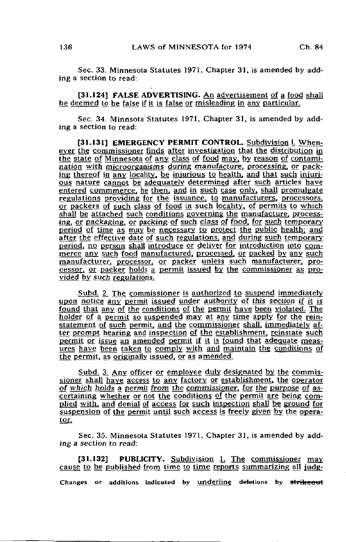Sec. 33. Minnesota Statutes 1971, Chapter 31, is amended by adding a section to read:

[31.124] FALSE ADVERTISING. An advertisement of a food shall be deemed to be false if it is false or misleading in any particular.

Sec. 34. Minnsota Statutes 1971, Chapter 31, is amended by adding a section to read:

[31.131] EMERGENCY PERMIT CONTROL. Subdivision l. Whenever the commissioner finds after investigation that the distribution in the state of Minnesota of any class of food may, by reason of contamination with microorganisms during manufacture, processing, or packing thereof in any locality, be injurious to health, and that such injurious nature cannot be adequately determined after such articles have entered commmerce. he then, and in such case only, shall promulgate regulations providing for the issuance, to manufacturers, processors, or packers of such class of food in such locality, of permits to which shall be attached such conditions governing the manufacture, processing, or packaging, or packing of such class of food, for such temporary period of time as may be necessary to protect the public health; and after the effective date of such regulations, and during such temporary period, no person shall introduce or deliver for introduction into commerce any such food manufactured, processed, or packed by any such manufacturer, processor, or packer unless such manufacturer, processor, or packer holds a permit issued by the commissioner as provided by such regulations.

Subd. 2. The commissioner is authorized to suspend immediately upon notice any permit issued under authority of this section if it is found that any of the conditions of the permit have been violated. The holder of a permit so suspended may at any time apply for the reinstatement of such permit, and the commissioner shall, immediately after prompt hearing and inspection of the establishment, reinstate such permit or issue an amended permit if it is found that adequate measures have begn taken to comply with and maintain the conditions of the permit, as originally issued, or as amended.

Subd. 3. Any officer or employee duly designated by the commissioner shall have access to any factory or establishment, the operator of which holds a permit from the commissioner, for the purpose of ascertaining whether or not the conditions of the permit are being complied with, and denial of access for such inspection shall be ground for suspension of the permit until such access is freely given by the operator.

Sec. 35. Minnesota Statutes 1971, Chapter 31, is amended by adding a section to read:

[31.132] PUBLICITY. Subdivision 1. The commissioner may cause to be published from time to time reports summarizing all judg-Changes or additions indicated by underline deletions by strikeout